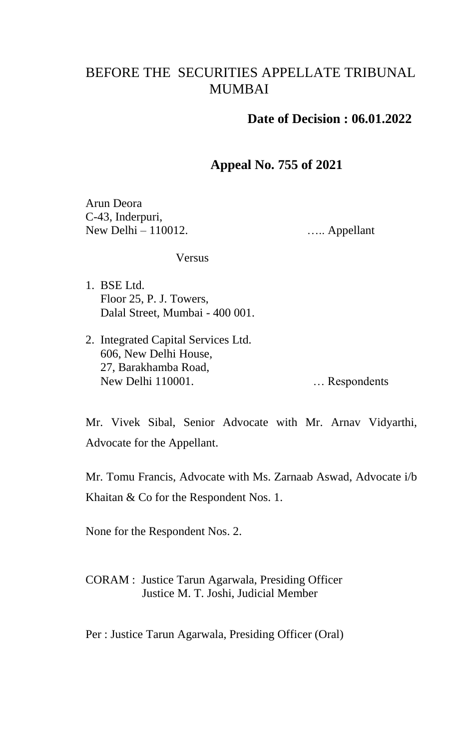## BEFORE THE SECURITIES APPELLATE TRIBUNAL MUMBAI

## **Date of Decision : 06.01.2022**

## **Appeal No. 755 of 2021**

Arun Deora C-43, Inderpuri, New Delhi – 110012.

….. Appellant

## **Versus**

- 1. BSE Ltd. Floor 25, P. J. Towers, Dalal Street, Mumbai - 400 001.
- 2. Integrated Capital Services Ltd. 606, New Delhi House, 27, Barakhamba Road, New Delhi 110001. … Respondents

Mr. Vivek Sibal, Senior Advocate with Mr. Arnav Vidyarthi, Advocate for the Appellant.

Mr. Tomu Francis, Advocate with Ms. Zarnaab Aswad, Advocate i/b Khaitan & Co for the Respondent Nos. 1.

None for the Respondent Nos. 2.

CORAM : Justice Tarun Agarwala, Presiding Officer Justice M. T. Joshi, Judicial Member

Per : Justice Tarun Agarwala, Presiding Officer (Oral)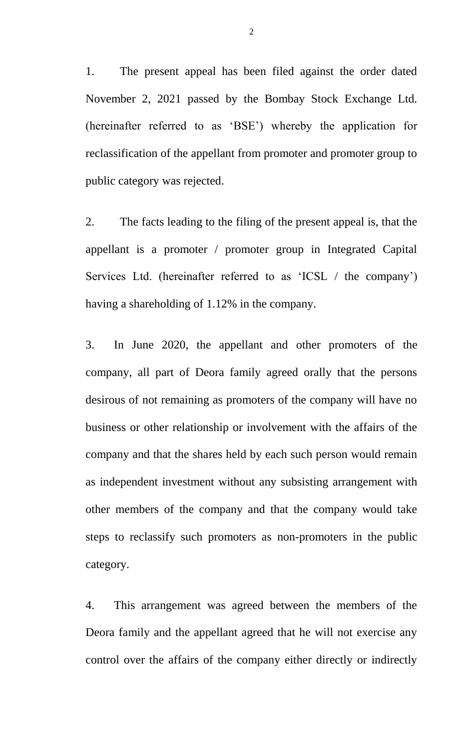1. The present appeal has been filed against the order dated November 2, 2021 passed by the Bombay Stock Exchange Ltd. (hereinafter referred to as 'BSE') whereby the application for reclassification of the appellant from promoter and promoter group to public category was rejected.

2. The facts leading to the filing of the present appeal is, that the appellant is a promoter / promoter group in Integrated Capital Services Ltd. (hereinafter referred to as 'ICSL / the company') having a shareholding of 1.12% in the company.

3. In June 2020, the appellant and other promoters of the company, all part of Deora family agreed orally that the persons desirous of not remaining as promoters of the company will have no business or other relationship or involvement with the affairs of the company and that the shares held by each such person would remain as independent investment without any subsisting arrangement with other members of the company and that the company would take steps to reclassify such promoters as non-promoters in the public category.

4. This arrangement was agreed between the members of the Deora family and the appellant agreed that he will not exercise any control over the affairs of the company either directly or indirectly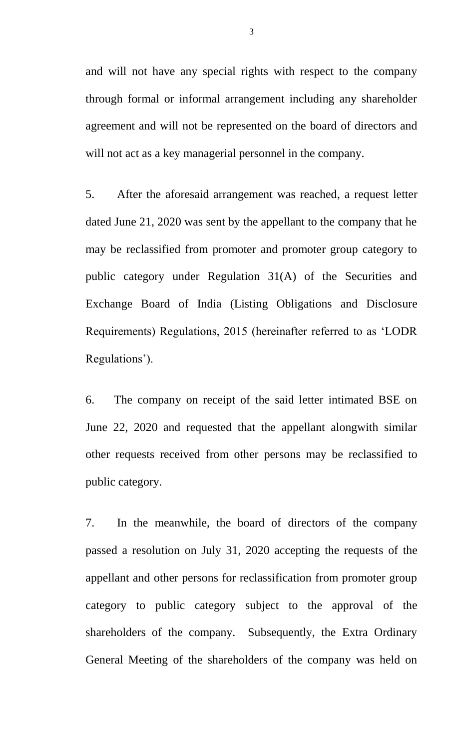and will not have any special rights with respect to the company through formal or informal arrangement including any shareholder agreement and will not be represented on the board of directors and will not act as a key managerial personnel in the company.

5. After the aforesaid arrangement was reached, a request letter dated June 21, 2020 was sent by the appellant to the company that he may be reclassified from promoter and promoter group category to public category under Regulation 31(A) of the Securities and Exchange Board of India (Listing Obligations and Disclosure Requirements) Regulations, 2015 (hereinafter referred to as 'LODR Regulations').

6. The company on receipt of the said letter intimated BSE on June 22, 2020 and requested that the appellant alongwith similar other requests received from other persons may be reclassified to public category.

7. In the meanwhile, the board of directors of the company passed a resolution on July 31, 2020 accepting the requests of the appellant and other persons for reclassification from promoter group category to public category subject to the approval of the shareholders of the company. Subsequently, the Extra Ordinary General Meeting of the shareholders of the company was held on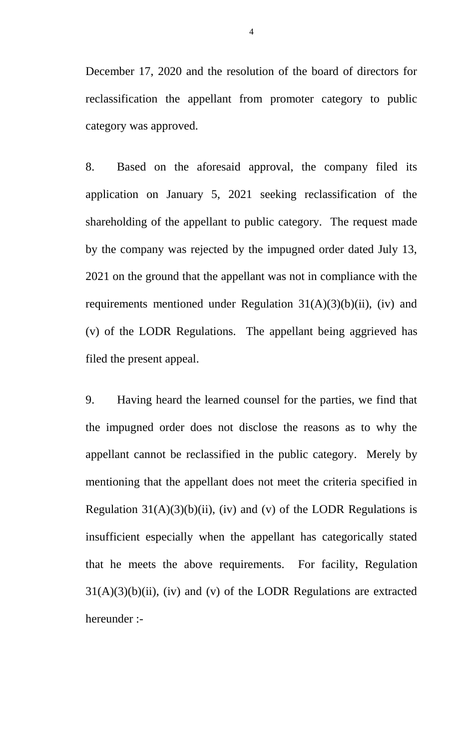December 17, 2020 and the resolution of the board of directors for reclassification the appellant from promoter category to public category was approved.

8. Based on the aforesaid approval, the company filed its application on January 5, 2021 seeking reclassification of the shareholding of the appellant to public category. The request made by the company was rejected by the impugned order dated July 13, 2021 on the ground that the appellant was not in compliance with the requirements mentioned under Regulation  $31(A)(3)(b)(ii)$ , (iv) and (v) of the LODR Regulations. The appellant being aggrieved has filed the present appeal.

9. Having heard the learned counsel for the parties, we find that the impugned order does not disclose the reasons as to why the appellant cannot be reclassified in the public category. Merely by mentioning that the appellant does not meet the criteria specified in Regulation  $31(A)(3)(b)(ii)$ , (iv) and (v) of the LODR Regulations is insufficient especially when the appellant has categorically stated that he meets the above requirements. For facility, Regulation  $31(A)(3)(b)(ii)$ , (iv) and (v) of the LODR Regulations are extracted hereunder :-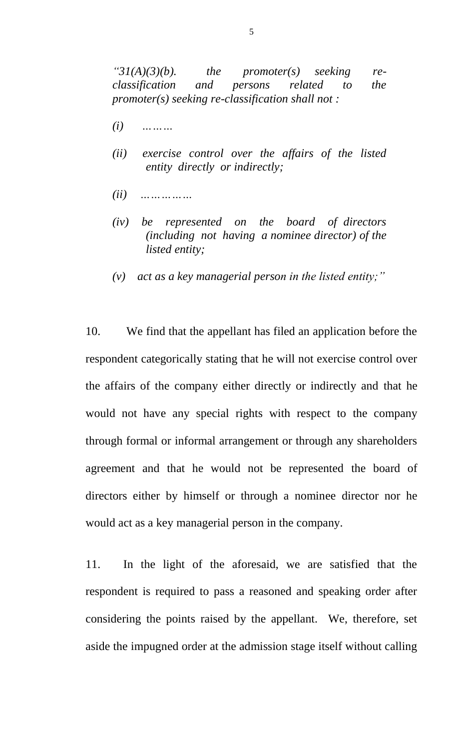*"31(A)(3)(b). the promoter(s) seeking reclassification and persons related to the promoter(s) seeking re-classification shall not :*

- *(i) ………*
- *(ii) exercise control over the affairs of the listed entity directly or indirectly;*
- *(ii) ……………*
- *(iv) be represented on the board of directors (including not having a nominee director) of the listed entity;*
- *(v) act as a key managerial person in the listed entity;"*

10. We find that the appellant has filed an application before the respondent categorically stating that he will not exercise control over the affairs of the company either directly or indirectly and that he would not have any special rights with respect to the company through formal or informal arrangement or through any shareholders agreement and that he would not be represented the board of directors either by himself or through a nominee director nor he would act as a key managerial person in the company.

11. In the light of the aforesaid, we are satisfied that the respondent is required to pass a reasoned and speaking order after considering the points raised by the appellant. We, therefore, set aside the impugned order at the admission stage itself without calling